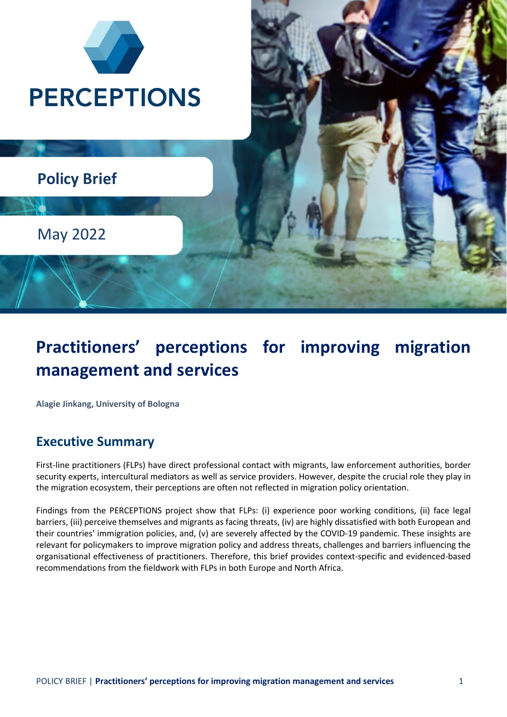

# **Practitioners' perceptions for improving migration management and services**

**Alagie Jinkang, University of Bologna** 

### **Executive Summary**

First-line practitioners (FLPs) have direct professional contact with migrants, law enforcement authorities, border security experts, intercultural mediators as well as service providers. However, despite the crucial role they play in the migration ecosystem, their perceptions are often not reflected in migration policy orientation.

Findings from the PERCEPTIONS project show that FLPs: (i) experience poor working conditions, (ii) face legal barriers, (iii) perceive themselves and migrants as facing threats, (iv) are highly dissatisfied with both European and their countries' immigration policies, and, (v) are severely affected by the COVID-19 pandemic. These insights are relevant for policymakers to improve migration policy and address threats, challenges and barriers influencing the organisational effectiveness of practitioners. Therefore, this brief provides context-specific and evidenced-based recommendations from the fieldwork with FLPs in both Europe and North Africa.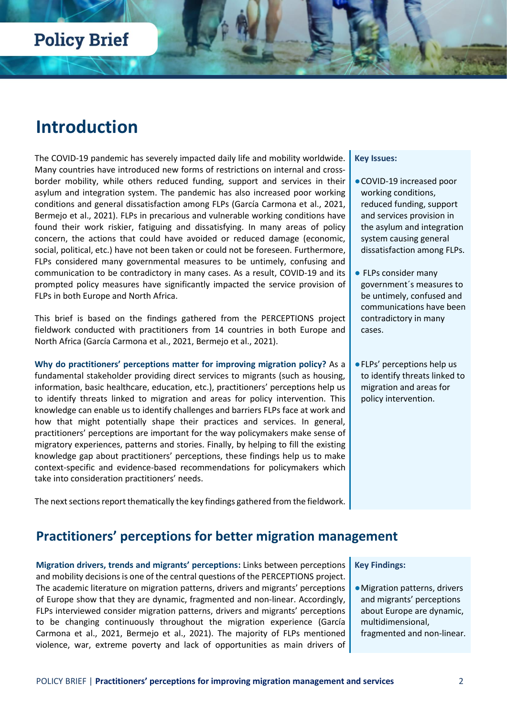## **Introduction**

The COVID-19 pandemic has severely impacted daily life and mobility worldwide. Many countries have introduced new forms of restrictions on internal and crossborder mobility, while others reduced funding, support and services in their asylum and integration system. The pandemic has also increased poor working conditions and general dissatisfaction among FLPs (García Carmona et al., 2021, Bermejo et al., 2021). FLPs in precarious and vulnerable working conditions have found their work riskier, fatiguing and dissatisfying. In many areas of policy concern, the actions that could have avoided or reduced damage (economic, social, political, etc.) have not been taken or could not be foreseen. Furthermore, FLPs considered many governmental measures to be untimely, confusing and communication to be contradictory in many cases. As a result, COVID-19 and its prompted policy measures have significantly impacted the service provision of FLPs in both Europe and North Africa.

This brief is based on the findings gathered from the PERCEPTIONS project fieldwork conducted with practitioners from 14 countries in both Europe and North Africa (García Carmona et al., 2021, Bermejo et al., 2021).

**Why do practitioners' perceptions matter for improving migration policy?** As a fundamental stakeholder providing direct services to migrants (such as housing, information, basic healthcare, education, etc.), practitioners' perceptions help us to identify threats linked to migration and areas for policy intervention. This knowledge can enable us to identify challenges and barriers FLPs face at work and how that might potentially shape their practices and services. In general, practitioners' perceptions are important for the way policymakers make sense of migratory experiences, patterns and stories. Finally, by helping to fill the existing knowledge gap about practitioners' perceptions, these findings help us to make context-specific and evidence-based recommendations for policymakers which take into consideration practitioners' needs.

The next sections report thematically the key findings gathered from the fieldwork.

#### **Key Issues:**

- ●COVID-19 increased poor working conditions, reduced funding, support and services provision in the asylum and integration system causing general dissatisfaction among FLPs.
- FLPs consider many government´s measures to be untimely, confused and communications have been contradictory in many cases.
- ●FLPs' perceptions help us to identify threats linked to migration and areas for policy intervention.

### **Practitioners' perceptions for better migration management**

**Migration drivers, trends and migrants' perceptions:** Links between perceptions and mobility decisions is one of the central questions of the PERCEPTIONS project. The academic literature on migration patterns, drivers and migrants' perceptions of Europe show that they are dynamic, fragmented and non-linear. Accordingly, FLPs interviewed consider migration patterns, drivers and migrants' perceptions to be changing continuously throughout the migration experience (García Carmona et al., 2021, Bermejo et al., 2021). The majority of FLPs mentioned violence, war, extreme poverty and lack of opportunities as main drivers of **Key Findings:**

●Migration patterns, drivers and migrants' perceptions about Europe are dynamic, multidimensional, fragmented and non-linear.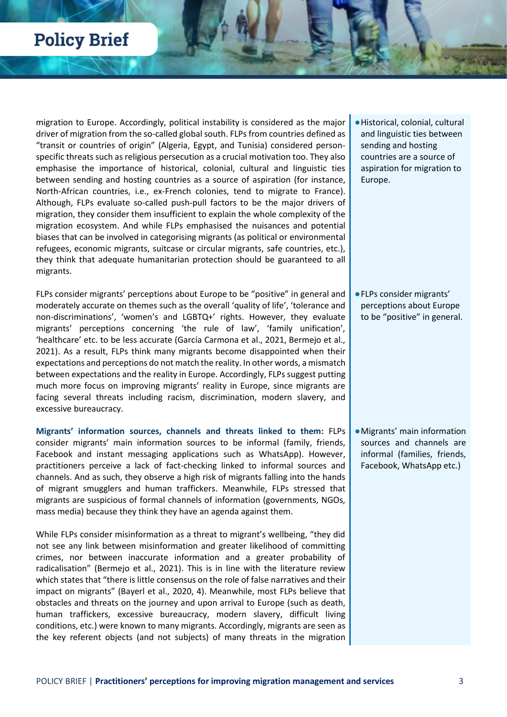migration to Europe. Accordingly, political instability is considered as the major driver of migration from the so-called global south. FLPs from countries defined as "transit or countries of origin" (Algeria, Egypt, and Tunisia) considered personspecific threats such as religious persecution as a crucial motivation too. They also emphasise the importance of historical, colonial, cultural and linguistic ties between sending and hosting countries as a source of aspiration (for instance, North-African countries, i.e., ex-French colonies, tend to migrate to France). Although, FLPs evaluate so-called push-pull factors to be the major drivers of migration, they consider them insufficient to explain the whole complexity of the migration ecosystem. And while FLPs emphasised the nuisances and potential biases that can be involved in categorising migrants (as political or environmental refugees, economic migrants, suitcase or circular migrants, safe countries, etc.), they think that adequate humanitarian protection should be guaranteed to all migrants.

FLPs consider migrants' perceptions about Europe to be "positive" in general and moderately accurate on themes such as the overall 'quality of life', 'tolerance and non-discriminations', 'women's and LGBTQ+' rights. However, they evaluate migrants' perceptions concerning 'the rule of law', 'family unification', 'healthcare' etc. to be less accurate (García Carmona et al., 2021, Bermejo et al., 2021). As a result, FLPs think many migrants become disappointed when their expectations and perceptions do not match the reality. In other words, a mismatch between expectations and the reality in Europe. Accordingly, FLPs suggest putting much more focus on improving migrants' reality in Europe, since migrants are facing several threats including racism, discrimination, modern slavery, and excessive bureaucracy.

**Migrants' information sources, channels and threats linked to them:** FLPs consider migrants' main information sources to be informal (family, friends, Facebook and instant messaging applications such as WhatsApp). However, practitioners perceive a lack of fact-checking linked to informal sources and channels. And as such, they observe a high risk of migrants falling into the hands of migrant smugglers and human traffickers. Meanwhile, FLPs stressed that migrants are suspicious of formal channels of information (governments, NGOs, mass media) because they think they have an agenda against them.

While FLPs consider misinformation as a threat to migrant's wellbeing, "they did not see any link between misinformation and greater likelihood of committing crimes, nor between inaccurate information and a greater probability of radicalisation" (Bermejo et al., 2021). This is in line with the literature review which states that "there is little consensus on the role of false narratives and their impact on migrants" (Bayerl et al., 2020, 4). Meanwhile, most FLPs believe that obstacles and threats on the journey and upon arrival to Europe (such as death, human traffickers, excessive bureaucracy, modern slavery, difficult living conditions, etc.) were known to many migrants. Accordingly, migrants are seen as the key referent objects (and not subjects) of many threats in the migration ●Historical, colonial, cultural and linguistic ties between sending and hosting countries are a source of aspiration for migration to Europe.

●FLPs consider migrants' perceptions about Europe to be "positive" in general.

●Migrants' main information sources and channels are informal (families, friends, Facebook, WhatsApp etc.)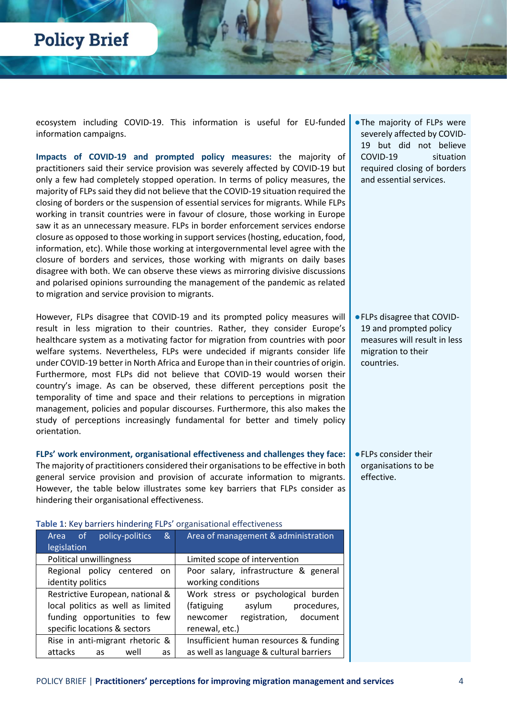ecosystem including COVID-19. This information is useful for EU-funded information campaigns.

**Impacts of COVID-19 and prompted policy measures:** the majority of practitioners said their service provision was severely affected by COVID-19 but only a few had completely stopped operation. In terms of policy measures, the majority of FLPs said they did not believe that the COVID-19 situation required the closing of borders or the suspension of essential services for migrants. While FLPs working in transit countries were in favour of closure, those working in Europe saw it as an unnecessary measure. FLPs in border enforcement services endorse closure as opposed to those working in support services (hosting, education, food, information, etc). While those working at intergovernmental level agree with the closure of borders and services, those working with migrants on daily bases disagree with both. We can observe these views as mirroring divisive discussions and polarised opinions surrounding the management of the pandemic as related to migration and service provision to migrants.

However, FLPs disagree that COVID-19 and its prompted policy measures will result in less migration to their countries. Rather, they consider Europe's healthcare system as a motivating factor for migration from countries with poor welfare systems. Nevertheless, FLPs were undecided if migrants consider life under COVID-19 better in North Africa and Europe than in their countries of origin. Furthermore, most FLPs did not believe that COVID-19 would worsen their country's image. As can be observed, these different perceptions posit the temporality of time and space and their relations to perceptions in migration management, policies and popular discourses. Furthermore, this also makes the study of perceptions increasingly fundamental for better and timely policy orientation.

**FLPs' work environment, organisational effectiveness and challenges they face:** The majority of practitioners considered their organisationsto be effective in both general service provision and provision of accurate information to migrants. However, the table below illustrates some key barriers that FLPs consider as hindering their organisational effectiveness.

| Area of<br>policy-politics<br>&           | Area of management & administration     |
|-------------------------------------------|-----------------------------------------|
| legislation                               |                                         |
| Political unwillingness                   | Limited scope of intervention           |
| Regional policy centered<br><sub>on</sub> | Poor salary, infrastructure & general   |
| identity politics                         | working conditions                      |
| Restrictive European, national &          | Work stress or psychological burden     |
| local politics as well as limited         | procedures,<br>(fatiguing<br>asylum     |
| funding opportunities to few              | registration, document<br>newcomer      |
| specific locations & sectors              | renewal, etc.)                          |
| Rise in anti-migrant rhetoric &           | Insufficient human resources & funding  |
| attacks<br>well<br>as<br>as               | as well as language & cultural barriers |

**Table 1**: Key barriers hindering FLPs' organisational effectiveness

●The majority of FLPs were severely affected by COVID-19 but did not believe COVID-19 situation required closing of borders and essential services.

●FLPs disagree that COVID-19 and prompted policy measures will result in less migration to their countries.

●FLPs consider their organisations to be effective.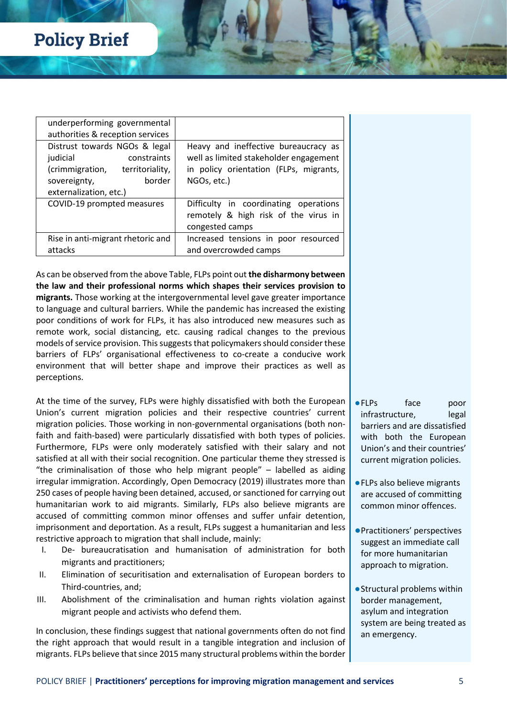| underperforming governmental      |                                        |
|-----------------------------------|----------------------------------------|
| authorities & reception services  |                                        |
| Distrust towards NGOs & legal     | Heavy and ineffective bureaucracy as   |
| judicial<br>constraints           | well as limited stakeholder engagement |
| (crimmigration, territoriality,   | in policy orientation (FLPs, migrants, |
| border<br>sovereignty,            | NGOs, etc.)                            |
| externalization, etc.)            |                                        |
| COVID-19 prompted measures        | Difficulty in coordinating operations  |
|                                   | remotely & high risk of the virus in   |
|                                   | congested camps                        |
| Rise in anti-migrant rhetoric and | Increased tensions in poor resourced   |
| attacks                           | and overcrowded camps                  |

As can be observed from the above Table, FLPs point out **the disharmony between the law and their professional norms which shapes their services provision to migrants.** Those working at the intergovernmental level gave greater importance to language and cultural barriers. While the pandemic has increased the existing poor conditions of work for FLPs, it has also introduced new measures such as remote work, social distancing, etc. causing radical changes to the previous models of service provision. This suggests that policymakers should consider these barriers of FLPs' organisational effectiveness to co-create a conducive work environment that will better shape and improve their practices as well as perceptions.

At the time of the survey, FLPs were highly dissatisfied with both the European Union's current migration policies and their respective countries' current migration policies. Those working in non-governmental organisations (both nonfaith and faith-based) were particularly dissatisfied with both types of policies. Furthermore, FLPs were only moderately satisfied with their salary and not satisfied at all with their social recognition. One particular theme they stressed is "the criminalisation of those who help migrant people" – labelled as aiding irregular immigration. Accordingly, Open Democracy (2019) illustrates more than 250 cases of people having been detained, accused, or sanctioned for carrying out humanitarian work to aid migrants. Similarly, FLPs also believe migrants are accused of committing common minor offenses and suffer unfair detention, imprisonment and deportation. As a result, FLPs suggest a humanitarian and less restrictive approach to migration that shall include, mainly:

- I. De- bureaucratisation and humanisation of administration for both migrants and practitioners;
- II. Elimination of securitisation and externalisation of European borders to Third-countries, and;
- III. Abolishment of the criminalisation and human rights violation against migrant people and activists who defend them.

In conclusion, these findings suggest that national governments often do not find the right approach that would result in a tangible integration and inclusion of migrants. FLPs believe that since 2015 many structural problems within the border

- ●FLPs face poor infrastructure, legal barriers and are dissatisfied with both the European Union's and their countries' current migration policies.
- ●FLPs also believe migrants are accused of committing common minor offences.
- ●Practitioners' perspectives suggest an immediate call for more humanitarian approach to migration.
- ●Structural problems within border management, asylum and integration system are being treated as an emergency.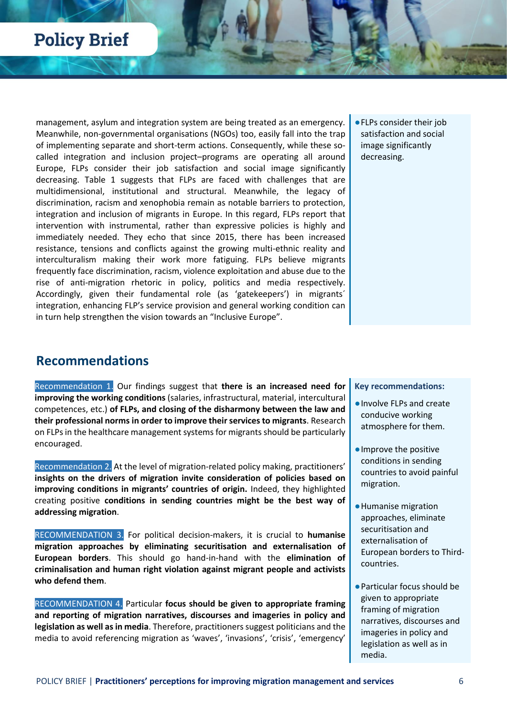management, asylum and integration system are being treated as an emergency. Meanwhile, non-governmental organisations (NGOs) too, easily fall into the trap of implementing separate and short-term actions. Consequently, while these socalled integration and inclusion project–programs are operating all around Europe, FLPs consider their job satisfaction and social image significantly decreasing. Table 1 suggests that FLPs are faced with challenges that are multidimensional, institutional and structural. Meanwhile, the legacy of discrimination, racism and xenophobia remain as notable barriers to protection, integration and inclusion of migrants in Europe. In this regard, FLPs report that intervention with instrumental, rather than expressive policies is highly and immediately needed. They echo that since 2015, there has been increased resistance, tensions and conflicts against the growing multi-ethnic reality and interculturalism making their work more fatiguing. FLPs believe migrants frequently face discrimination, racism, violence exploitation and abuse due to the rise of anti-migration rhetoric in policy, politics and media respectively. Accordingly, given their fundamental role (as 'gatekeepers') in migrants´ integration, enhancing FLP's service provision and general working condition can in turn help strengthen the vision towards an "Inclusive Europe".

●FLPs consider their job satisfaction and social image significantly decreasing.

### **Recommendations**

Recommendation 1. Our findings suggest that **there is an increased need for improving the working conditions** (salaries, infrastructural, material, intercultural competences, etc.) **of FLPs, and closing of the disharmony between the law and their professional norms in order to improve their services to migrants**. Research on FLPs in the healthcare management systems for migrants should be particularly encouraged.

Recommendation 2. At the level of migration-related policy making, practitioners' **insights on the drivers of migration invite consideration of policies based on improving conditions in migrants' countries of origin.** Indeed, they highlighted creating positive **conditions in sending countries might be the best way of addressing migration**.

RECOMMENDATION 3. For political decision-makers, it is crucial to **humanise migration approaches by eliminating securitisation and externalisation of European borders**. This should go hand-in-hand with the **elimination of criminalisation and human right violation against migrant people and activists who defend them**.

RECOMMENDATION 4. Particular **focus should be given to appropriate framing and reporting of migration narratives, discourses and imageries in policy and legislation as well as in media**. Therefore, practitioners suggest politicians and the media to avoid referencing migration as 'waves', 'invasions', 'crisis', 'emergency'

#### **Key recommendations:**

- ●Involve FLPs and create conducive working atmosphere for them.
- ●Improve the positive conditions in sending countries to avoid painful migration.
- ●Humanise migration approaches, eliminate securitisation and externalisation of European borders to Thirdcountries.
- ●Particular focus should be given to appropriate framing of migration narratives, discourses and imageries in policy and legislation as well as in media.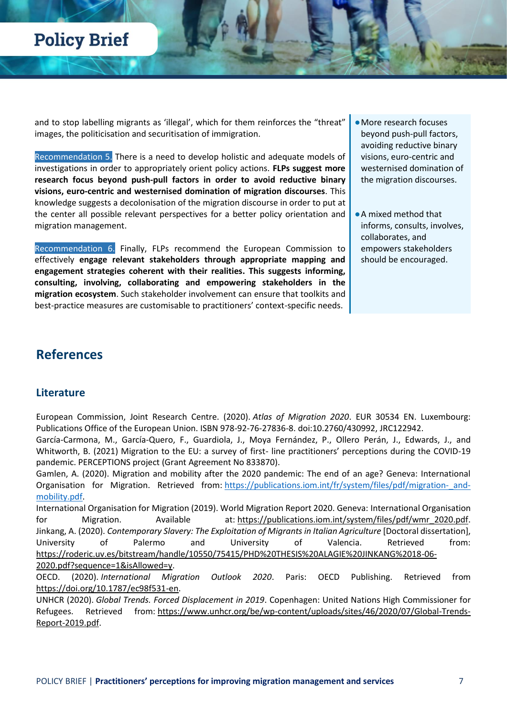and to stop labelling migrants as 'illegal', which for them reinforces the "threat" images, the politicisation and securitisation of immigration.

Recommendation 5. There is a need to develop holistic and adequate models of investigations in order to appropriately orient policy actions. **FLPs suggest more research focus beyond push-pull factors in order to avoid reductive binary visions, euro-centric and westernised domination of migration discourses**. This knowledge suggests a decolonisation of the migration discourse in order to put at the center all possible relevant perspectives for a better policy orientation and migration management.

Recommendation 6. Finally, FLPs recommend the European Commission to effectively **engage relevant stakeholders through appropriate mapping and engagement strategies coherent with their realities. This suggests informing, consulting, involving, collaborating and empowering stakeholders in the migration ecosystem**. Such stakeholder involvement can ensure that toolkits and best-practice measures are customisable to practitioners' context-specific needs.

- ●More research focuses beyond push-pull factors, avoiding reductive binary visions, euro-centric and westernised domination of the migration discourses.
- ●A mixed method that informs, consults, involves, collaborates, and empowers stakeholders should be encouraged.

### **References**

### **Literature**

European Commission, Joint Research Centre. (2020). *Atlas of Migration 2020*. EUR 30534 EN. Luxembourg: Publications Office of the European Union. ISBN 978-92-76-27836-8. doi:10.2760/430992, JRC122942.

García-Carmona, M., García-Quero, F., Guardiola, J., Moya Fernández, P., Ollero Perán, J., Edwards, J., and Whitworth, B. (2021) Migration to the EU: a survey of first- line practitioners' perceptions during the COVID-19 pandemic. PERCEPTIONS project (Grant Agreement No 833870).

Gamlen, A. (2020). Migration and mobility after the 2020 pandemic: The end of an age? Geneva: International Organisation for Migration. Retrieved from: https://publications.iom.int/fr/system/files/pdf/migration- and[mobility.pdf.](https://publications.iom.int/fr/system/files/pdf/migration-_and-mobility.pdf)

International Organisation for Migration (2019). World Migration Report 2020. Geneva: International Organisation for Migration. Available at: [https://publications.iom.int/system/files/pdf/wmr\\_2020.pdf.](https://publications.iom.int/system/files/pdf/wmr_2020.pdf) Jinkang, A. (2020). *Contemporary Slavery: The Exploitation of Migrants in Italian Agriculture* [Doctoral dissertation], University of Palermo and University of Valencia. Retrieved from: [https://roderic.uv.es/bitstream/handle/10550/75415/PHD%20THESIS%20ALAGIE%20JINKANG%2018-06-](https://roderic.uv.es/bitstream/handle/10550/75415/PHD%20THESIS%20ALAGIE%20JINKANG%2018-06-2020.pdf?sequence=1&isAllowed=y) [2020.pdf?sequence=1&isAllowed=y.](https://roderic.uv.es/bitstream/handle/10550/75415/PHD%20THESIS%20ALAGIE%20JINKANG%2018-06-2020.pdf?sequence=1&isAllowed=y)

OECD. (2020). *International Migration Outlook 2020*. Paris: OECD Publishing. Retrieved from [https://doi.org/10.1787/ec98f531-en.](https://doi.org/10.1787/ec98f531-en)

UNHCR (2020). *Global Trends. Forced Displacement in 2019*. Copenhagen: United Nations High Commissioner for Refugees. Retrieved from: [https://www.unhcr.org/be/wp-content/uploads/sites/46/2020/07/Global-Trends-](https://www.unhcr.org/be/wp-content/uploads/sites/46/2020/07/Global-Trends-Report-2019.pdf)[Report-2019.pdf.](https://www.unhcr.org/be/wp-content/uploads/sites/46/2020/07/Global-Trends-Report-2019.pdf)